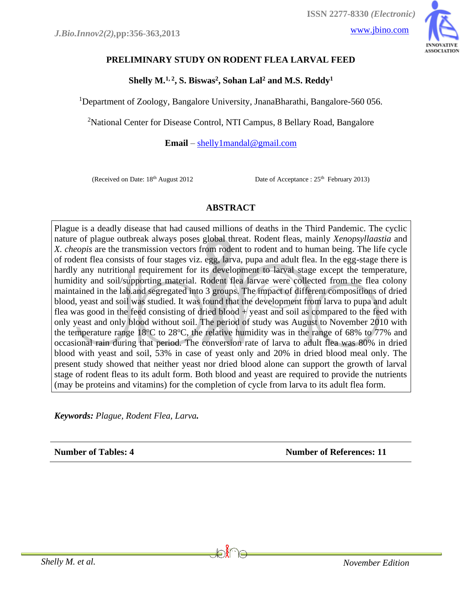

# **PRELIMINARY STUDY ON RODENT FLEA LARVAL FEED**

**Shelly M.1, 2 , S. Biswas<sup>2</sup> , Sohan Lal<sup>2</sup> and M.S. Reddy<sup>1</sup>**

<sup>1</sup>Department of Zoology, Bangalore University, JnanaBharathi, Bangalore-560 056.

<sup>2</sup>National Center for Disease Control, NTI Campus, 8 Bellary Road, Bangalore

**Email** – [shelly1mandal@gmail.com](mailto:shelly1mandal@gmail.com)

(Received on Date:  $18<sup>th</sup>$  August 2012

Date of Acceptance :  $25<sup>th</sup>$  February 2013)

## **ABSTRACT**

Plague is a deadly disease that had caused millions of deaths in the Third Pandemic. The cyclic nature of plague outbreak always poses global threat. Rodent fleas, mainly *Xenopsyllaastia* and *X. cheopis* are the transmission vectors from rodent to rodent and to human being. The life cycle of rodent flea consists of four stages viz. egg, larva, pupa and adult flea. In the egg-stage there is hardly any nutritional requirement for its development to larval stage except the temperature, humidity and soil/supporting material. Rodent flea larvae were collected from the flea colony maintained in the lab.and segregated into 3 groups. The impact of different compositions of dried blood, yeast and soil was studied. It was found that the development from larva to pupa and adult flea was good in the feed consisting of dried blood  $+$  yeast and soil as compared to the feed with only yeast and only blood without soil. The period of study was August to November 2010 with the temperature range  $18^{\circ}$ C to  $28^{\circ}$ C, the relative humidity was in the range of 68% to 77% and occasional rain during that period. The conversion rate of larva to adult flea was 80% in dried blood with yeast and soil, 53% in case of yeast only and 20% in dried blood meal only. The present study showed that neither yeast nor dried blood alone can support the growth of larval stage of rodent fleas to its adult form. Both blood and yeast are required to provide the nutrients (may be proteins and vitamins) for the completion of cycle from larva to its adult flea form.

*Keywords: Plague, Rodent Flea, Larva.*

**Number of Tables: 4 Number of References: 11**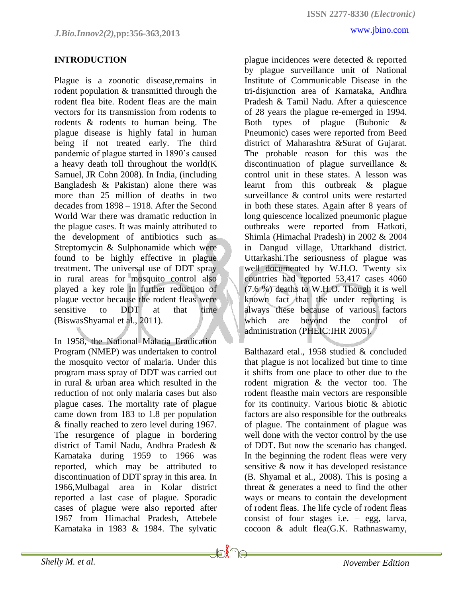#### **INTRODUCTION**

Plague is a zoonotic disease,remains in rodent population & transmitted through the rodent flea bite. Rodent fleas are the main vectors for its transmission from rodents to rodents & rodents to human being. The plague disease is highly fatal in human being if not treated early. The third pandemic of plague started in 1890's caused a heavy death toll throughout the world[\(K](http://www.ncbi.nlm.nih.gov/sites/entrez?cmd=search&db=PubMed&term=%20Cohn%20JR%2BSK%5bauth%5d)  [Samuel, JR](http://www.ncbi.nlm.nih.gov/sites/entrez?cmd=search&db=PubMed&term=%20Cohn%20JR%2BSK%5bauth%5d) Cohn 2008). In India, (including Bangladesh & Pakistan) alone there was more than 25 million of deaths in two decades from 1898 – 1918. After the Second World War there was dramatic reduction in the plague cases. It was mainly attributed to the development of antibiotics such as Streptomycin & Sulphonamide which were found to be highly effective in plague treatment. The universal use of DDT spray in rural areas for mosquito control also played a key role in further reduction of plague vector because the rodent fleas were sensitive to DDT at that time (BiswasShyamal et al., 2011).

In 1958, the National Malaria Eradication Program (NMEP) was undertaken to control the mosquito vector of malaria. Under this program mass spray of DDT was carried out in rural & urban area which resulted in the reduction of not only malaria cases but also plague cases. The mortality rate of plague came down from 183 to 1.8 per population & finally reached to zero level during 1967. The resurgence of plague in bordering district of Tamil Nadu, Andhra Pradesh & Karnataka during 1959 to 1966 was reported, which may be attributed to discontinuation of DDT spray in this area. In 1966,Mulbagal area in Kolar district reported a last case of plague. Sporadic cases of plague were also reported after 1967 from Himachal Pradesh, Attebele Karnataka in 1983 & 1984. The sylvatic

**Joine** 

plague incidences were detected & reported by plague surveillance unit of National Institute of Communicable Disease in the tri-disjunction area of Karnataka, Andhra Pradesh & Tamil Nadu. After a quiescence of 28 years the plague re-emerged in 1994. Both types of plague (Bubonic & Pneumonic) cases were reported from Beed district of Maharashtra &Surat of Gujarat. The probable reason for this was the discontinuation of plague surveillance & control unit in these states. A lesson was learnt from this outbreak & plague surveillance & control units were restarted in both these states. Again after 8 years of long quiescence localized pneumonic plague outbreaks were reported from Hatkoti, Shimla (Himachal Pradesh) in 2002 & 2004 in Dangud village, Uttarkhand district. Uttarkashi.The seriousness of plague was well documented by W.H.O. Twenty six countries had reported 53,417 cases 4060 (7.6 %) deaths to W.H.O. Though it is well known fact that the under reporting is always these because of various factors which are beyond the control of administration (PHEIC:IHR 2005).

Balthazard etal., 1958 studied & concluded that plague is not localized but time to time it shifts from one place to other due to the rodent migration & the vector too. The rodent fleasthe main vectors are responsible for its continuity. Various biotic & abiotic factors are also responsible for the outbreaks of plague. The containment of plague was well done with the vector control by the use of DDT. But now the scenario has changed. In the beginning the rodent fleas were very sensitive & now it has developed resistance (B. Shyamal et al., 2008). This is posing a threat & generates a need to find the other ways or means to contain the development of rodent fleas. The life cycle of rodent fleas consist of four stages i.e. – egg, larva, cocoon & adult flea(G.K. Rathnaswamy,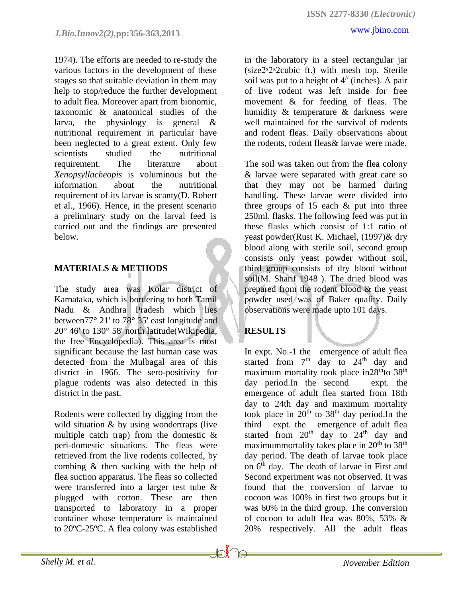1974). The efforts are needed to re-study the various factors in the development of these stages so that suitable deviation in them may help to stop/reduce the further development to adult flea. Moreover apart from bionomic, taxonomic & anatomical studies of the larva, the physiology is general & nutritional requirement in particular have been neglected to a great extent. Only few scientists studied the nutritional requirement. The literature about *Xenopsyllacheopis* is voluminous but the information about the nutritional requirement of its larvae is scanty(D. Robert et al., 1966). Hence, in the present scenario a preliminary study on the larval feed is carried out and the findings are presented below.

### **MATERIALS & METHODS**

The study area was Kolar district of Karnataka, which is bordering to both Tamil Nadu & Andhra Pradesh which lies between77° 21' to 78° 35' east longitude and 20° 46' to 130° 58' north latitude(Wikipedia, the free Encyclopedia). This area is most significant because the last human case was detected from the Mulbagal area of this district in 1966. The sero-positivity for plague rodents was also detected in this district in the past.

Rodents were collected by digging from the wild situation & by using wondertraps (live multiple catch trap) from the domestic  $\&$ peri-domestic situations. The fleas were retrieved from the live rodents collected, by combing & then sucking with the help of flea suction apparatus. The fleas so collected were transferred into a larger test tube & plugged with cotton. These are then transported to laboratory in a proper container whose temperature is maintained to  $20^{\circ}$ C-25 $^{\circ}$ C. A flea colony was established

well maintained for the survival of rodents and rodent fleas. Daily observations about the rodents, rodent fleas& larvae were made.

The soil was taken out from the flea colony & larvae were separated with great care so that they may not be harmed during handling. These larvae were divided into three groups of  $15$  each  $\&$  put into three 250ml. flasks. The following feed was put in these flasks which consist of 1:1 ratio of yeast powder(Rust K. Michael, (1997)& dry blood along with sterile soil, second group consists only yeast powder without soil, third group consists of dry blood without soil(M. Sharif 1948 ). The dried blood was prepared from the rodent blood & the yeast powder used was of Baker quality. Daily observations were made upto 101 days.

## **RESULTS**

In expt. No.-1 the emergence of adult flea started from  $7<sup>th</sup>$  day to  $24<sup>th</sup>$  day and maximum mortality took place in $28<sup>th</sup>$  to  $38<sup>th</sup>$ day period.In the second expt. the emergence of adult flea started from 18th day to 24th day and maximum mortality took place in 20<sup>th</sup> to 38<sup>th</sup> day period.In the third expt. the emergence of adult flea started from  $20<sup>th</sup>$  day to  $24<sup>th</sup>$  day and maximummortality takes place in  $20<sup>th</sup>$  to  $38<sup>th</sup>$ day period. The death of larvae took place on  $6<sup>th</sup>$  day. The death of larvae in First and Second experiment was not observed. It was found that the conversion of larvae to cocoon was 100% in first two groups but it was 60% in the third group. The conversion of cocoon to adult flea was 80%, 53% & 20% respectively. All the adult fleas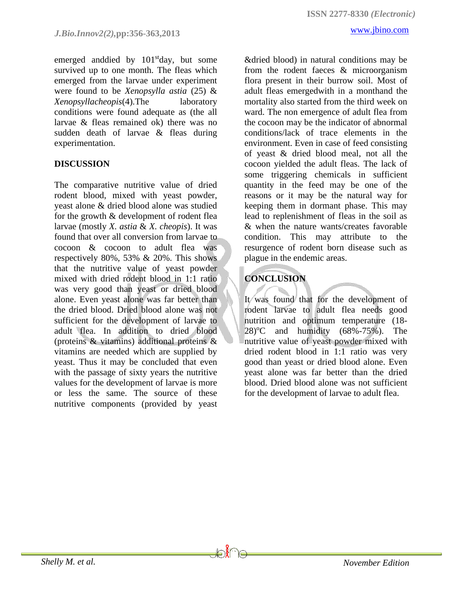emerged anddied by 101<sup>st</sup>day, but some survived up to one month. The fleas which emerged from the larvae under experiment were found to be *Xenopsylla astia* (25) & *Xenopsyllacheopis*(4).The laboratory conditions were found adequate as (the all larvae & fleas remained ok) there was no sudden death of larvae & fleas during experimentation.

#### **DISCUSSION**

The comparative nutritive value of dried rodent blood, mixed with yeast powder, yeast alone & dried blood alone was studied for the growth & development of rodent flea larvae (mostly *X. astia* & *X. cheopis*). It was found that over all conversion from larvae to cocoon & cocoon to adult flea was respectively 80%, 53% & 20%. This shows that the nutritive value of yeast powder mixed with dried rodent blood in 1:1 ratio was very good than yeast or dried blood alone. Even yeast alone was far better than the dried blood. Dried blood alone was not sufficient for the development of larvae to adult flea. In addition to dried blood (proteins & vitamins) additional proteins & vitamins are needed which are supplied by yeast. Thus it may be concluded that even with the passage of sixty years the nutritive values for the development of larvae is more or less the same. The source of these nutritive components (provided by yeast

&dried blood) in natural conditions may be from the rodent faeces & microorganism flora present in their burrow soil. Most of adult fleas emergedwith in a monthand the mortality also started from the third week on ward. The non emergence of adult flea from the cocoon may be the indicator of abnormal conditions/lack of trace elements in the environment. Even in case of feed consisting of yeast & dried blood meal, not all the cocoon yielded the adult fleas. The lack of some triggering chemicals in sufficient quantity in the feed may be one of the reasons or it may be the natural way for keeping them in dormant phase. This may lead to replenishment of fleas in the soil as & when the nature wants/creates favorable condition. This may attribute to the resurgence of rodent born disease such as plague in the endemic areas.

# **CONCLUSION**

It was found that for the development of rodent larvae to adult flea needs good nutrition and optimum temperature (18-  $28$ <sup>o</sup>C and humidity (68%-75%). The nutritive value of yeast powder mixed with dried rodent blood in 1:1 ratio was very good than yeast or dried blood alone. Even yeast alone was far better than the dried blood. Dried blood alone was not sufficient for the development of larvae to adult flea.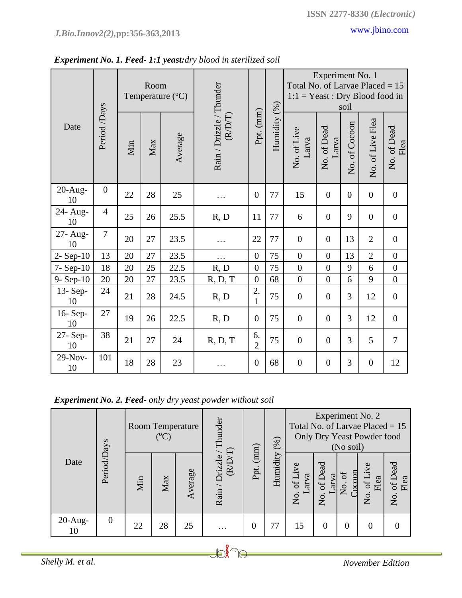|                 |                | Room<br>Temperature (°C) |     |         |                                   |                      |              | Experiment No. 1<br>Total No. of Larvae Placed = 15<br>$1:1 = Yeast : Dry Blood food in$<br>soil |                      |                |                  |                     |  |
|-----------------|----------------|--------------------------|-----|---------|-----------------------------------|----------------------|--------------|--------------------------------------------------------------------------------------------------|----------------------|----------------|------------------|---------------------|--|
| Date            | Period /Days   | Min                      | Max | Average | Rain / Drizzle / Thunder<br>(RDT) | Ppt. (mm)            | Humidity (%) | No. of Live<br>Larva                                                                             | No. of Dead<br>Larva | No. of Cocoon  | No. of Live Flea | No. of Dead<br>Flea |  |
| $20-Aug-$<br>10 | $\overline{0}$ | 22                       | 28  | 25      | .                                 | $\overline{0}$       | 77           | 15                                                                                               | $\overline{0}$       | $\overline{0}$ | $\overline{0}$   | $\overline{0}$      |  |
| 24- Aug-<br>10  | $\overline{4}$ | 25                       | 26  | 25.5    | R, D                              | 11                   | 77           | 6                                                                                                | $\overline{0}$       | 9              | $\overline{0}$   | $\boldsymbol{0}$    |  |
| 27- Aug-<br>10  | $\overline{7}$ | 20                       | 27  | 23.5    | .                                 | 22                   | 77           | $\mathbf{0}$                                                                                     | $\boldsymbol{0}$     | 13             | $\overline{2}$   | $\overline{0}$      |  |
| $2-$ Sep-10     | 13             | 20                       | 27  | 23.5    |                                   | $\overline{0}$       | 75           | $\mathbf{0}$                                                                                     | $\overline{0}$       | 13             | $\overline{2}$   | $\overline{0}$      |  |
| 7- Sep-10       | 18             | 20                       | 25  | 22.5    | R, D                              | $\overline{0}$       | 75           | $\boldsymbol{0}$                                                                                 | $\boldsymbol{0}$     | 9              | 6                | $\boldsymbol{0}$    |  |
| $9 -$ Sep $-10$ | 20             | 20                       | 27  | 23.5    | R, D, T                           | $\overline{0}$       | 68           | $\boldsymbol{0}$                                                                                 | $\overline{0}$       | 6              | 9                | $\boldsymbol{0}$    |  |
| 13-Sep-<br>10   | 24             | 21                       | 28  | 24.5    | R, D                              | 2.<br>$\mathbf{1}$   | 75           | $\mathbf{0}$                                                                                     | $\overline{0}$       | 3              | 12               | $\overline{0}$      |  |
| 16-Sep-<br>10   | 27             | 19                       | 26  | 22.5    | R, D                              | $\overline{0}$       | 75           | $\boldsymbol{0}$                                                                                 | $\overline{0}$       | 3              | 12               | $\overline{0}$      |  |
| 27-Sep-<br>10   | 38             | 21                       | 27  | 24      | R, D, T                           | 6.<br>$\overline{2}$ | 75           | $\mathbf{0}$                                                                                     | $\overline{0}$       | 3              | 5                | $\overline{7}$      |  |
| 29-Nov-<br>10   | 101            | 18                       | 28  | 23      |                                   | $\overline{0}$       | 68           | $\mathbf{0}$                                                                                     | $\overline{0}$       | 3              | $\overline{0}$   | 12                  |  |

*Experiment No. 1. Feed- 1:1 yeast:dry blood in sterilized soil*

*Experiment No. 2. Feed- only dry yeast powder without soil*

| Date             |                |     | $(^{0}C)$ | Room Temperature | Thunder                 | (mm) | (%)      |                          |                        | (No soil)            | Experiment No. 2<br>Total No. of Larvae Placed $= 15$<br>Only Dry Yeast Powder food |                       |
|------------------|----------------|-----|-----------|------------------|-------------------------|------|----------|--------------------------|------------------------|----------------------|-------------------------------------------------------------------------------------|-----------------------|
|                  | Period/Days    | Min | Max       | Average          | Rain / Drizzle<br>(R/D) | Ppt. | Humidity | $of$ Live<br>arva<br>No. | of Dead<br>arva<br>Σó. | $\Gamma$<br>ð<br>No. | of Live<br>Flea<br>Σó.                                                              | of Dead<br>Flea<br>Σó |
| $20$ -Aug-<br>10 | $\overline{0}$ | 22  | 28        | 25               | .                       | 0    | 77       | 15                       | $\Omega$               | $\Omega$             | 0                                                                                   |                       |

**Join**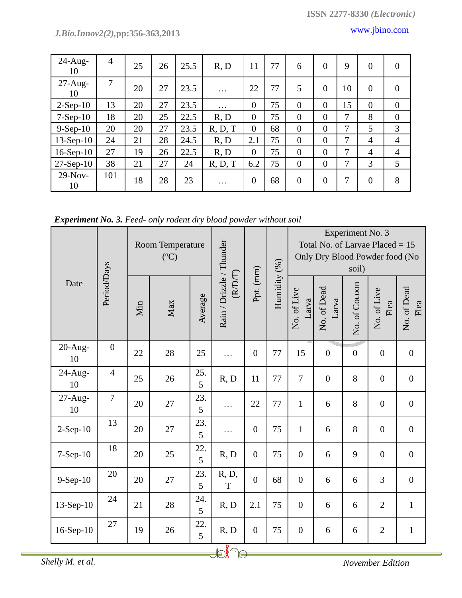| $24$ -Aug-<br>10 | $\overline{4}$ | 25 | 26 | 25.5 | R, D     | 11             | 77 | 6              | $\theta$       | 9              | $\overline{0}$ | $\overline{0}$   |
|------------------|----------------|----|----|------|----------|----------------|----|----------------|----------------|----------------|----------------|------------------|
| $27$ -Aug-<br>10 | 7              | 20 | 27 | 23.5 | $\cdots$ | 22             | 77 | 5              | $\theta$       | 10             | $\overline{0}$ | $\theta$         |
| $2-Sep-10$       | 13             | 20 | 27 | 23.5 | $\cdots$ | $\overline{0}$ | 75 | $\overline{0}$ | $\overline{0}$ | 15             | $\overline{0}$ | $\boldsymbol{0}$ |
| $7-Sep-10$       | 18             | 20 | 25 | 22.5 | R, D     | $\overline{0}$ | 75 | $\overline{0}$ | $\Omega$       | $\overline{7}$ | 8              | $\mathbf{0}$     |
| $9-Sep-10$       | 20             | 20 | 27 | 23.5 | R, D, T  | $\overline{0}$ | 68 | $\overline{0}$ | $\overline{0}$ | 7              | 5              | 3                |
| $13-Sep-10$      | 24             | 21 | 28 | 24.5 | R, D     | 2.1            | 75 | $\overline{0}$ | $\overline{0}$ | 7              | $\overline{4}$ | $\overline{4}$   |
| $16-Sep-10$      | 27             | 19 | 26 | 22.5 | R, D     | $\overline{0}$ | 75 | $\overline{0}$ | $\theta$       | 7              | $\overline{4}$ | $\overline{4}$   |
| $27-Sep-10$      | 38             | 21 | 27 | 24   | R, D, T  | 6.2            | 75 | $\theta$       | $\overline{0}$ | 7              | 3              | 5                |
| $29-Nov-$<br>10  | 101            | 18 | 28 | 23   | .        | $\overline{0}$ | 68 | $\overline{0}$ | $\theta$       | 7              | $\overline{0}$ | 8                |

*Experiment No. 3. Feed- only rodent dry blood powder without soil*

| Date             |                  |     | $({}^{\circ}C)$ | Room Temperature |                                   |                  |              | Experiment No. 3<br>Total No. of Larvae Placed $= 15$<br>Only Dry Blood Powder food (No<br>soil) |                      |                  |                     |                     |  |
|------------------|------------------|-----|-----------------|------------------|-----------------------------------|------------------|--------------|--------------------------------------------------------------------------------------------------|----------------------|------------------|---------------------|---------------------|--|
|                  | Period/Days      | Min | Max             | Average          | Rain / Drizzle / Thunder<br>(RDT) | Ppt. (mm)        | Humidity (%) | No. of Live<br>Larva                                                                             | No. of Dead<br>Larva | No. of Cocoon    | No. of Live<br>Flea | No. of Dead<br>Flea |  |
| $20-Aug-$<br>10  | $\boldsymbol{0}$ | 22  | 28              | 25               | .                                 | $\overline{0}$   | 77           | 15                                                                                               | $\boldsymbol{0}$     | $\boldsymbol{0}$ | $\boldsymbol{0}$    | $\boldsymbol{0}$    |  |
| $24$ -Aug-<br>10 | $\overline{4}$   | 25  | 26              | 25.<br>5         | R, D                              | 11               | 77           | $\overline{7}$                                                                                   | $\boldsymbol{0}$     | 8                | $\boldsymbol{0}$    | $\boldsymbol{0}$    |  |
| $27-Aug-$<br>10  | $\overline{7}$   | 20  | 27              | 23.<br>5         | .                                 | 22               | 77           | $\mathbf{1}$                                                                                     | 6                    | 8                | $\boldsymbol{0}$    | $\boldsymbol{0}$    |  |
| $2-Sep-10$       | 13               | 20  | 27              | 23.<br>5         | .                                 | $\overline{0}$   | 75           | $\mathbf{1}$                                                                                     | 6                    | 8                | $\boldsymbol{0}$    | $\boldsymbol{0}$    |  |
| 7-Sep-10         | 18               | 20  | 25              | 22.<br>5         | R, D                              | $\overline{0}$   | 75           | $\overline{0}$                                                                                   | 6                    | 9                | $\boldsymbol{0}$    | $\boldsymbol{0}$    |  |
| $9-Sep-10$       | 20               | 20  | 27              | 23.<br>5         | R, D,<br>T                        | $\overline{0}$   | 68           | $\overline{0}$                                                                                   | 6                    | 6                | 3                   | $\boldsymbol{0}$    |  |
| $13-Sep-10$      | 24               | 21  | 28              | 24.<br>5         | R, D                              | 2.1              | 75           | $\overline{0}$                                                                                   | 6                    | 6                | $\mathbf{2}$        | $\mathbf{1}$        |  |
| $16-Sep-10$      | 27               | 19  | 26              | 22.<br>5         | R, D                              | $\boldsymbol{0}$ | 75           | $\boldsymbol{0}$                                                                                 | 6                    | 6                | $\overline{2}$      | $\mathbf{1}$        |  |

*Shelly M. et al. November Edition*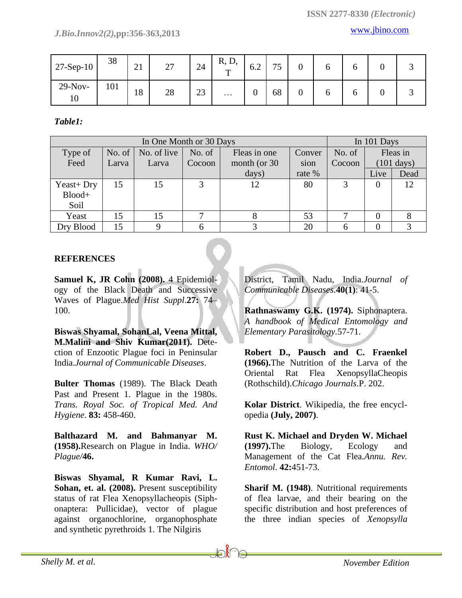*J.Bio.Innov2(2),***pp:356-363,2013** [www.jbino.com](http://www.jbino.com/)

| $27-Sep-10$     | 38  | $^{\sim}$ 1<br>$\angle$ | $\sim$<br>ا ک | 24 | R, D,<br>m | 6.2           | 75<br>◡ | ∩<br>υ | O |  |
|-----------------|-----|-------------------------|---------------|----|------------|---------------|---------|--------|---|--|
| $29-Nov-$<br>10 | 101 | 18                      | 28            | 23 | $\cdots$   | $\Omega$<br>υ | 68      | v      | O |  |

*Table1:*

|              | In 101 Days    |             |                                            |              |        |        |          |                      |
|--------------|----------------|-------------|--------------------------------------------|--------------|--------|--------|----------|----------------------|
| Type of      | No. of $\vert$ | No. of live | No. of<br>No. of<br>Fleas in one<br>Conver |              |        |        |          | Fleas in             |
| Feed         | Larva          | Larva       | Cocoon                                     | month (or 30 | sion   | Cocoon |          | $(101 \text{ days})$ |
|              |                |             |                                            | days)        | rate % |        | Live     | Dead                 |
| $Year + Dry$ | 15             | 15          | 3                                          | 12           | 80     | 3      | $\theta$ | 12                   |
| Blood+       |                |             |                                            |              |        |        |          |                      |
| Soil         |                |             |                                            |              |        |        |          |                      |
| Yeast        | 15             | 15          |                                            |              | 53     |        |          |                      |
| Dry Blood    | 15             |             |                                            |              | 20     |        |          |                      |

### **REFERENCES**

**[Samuel](http://www.ncbi.nlm.nih.gov/sites/entrez?cmd=search&db=PubMed&term=%20Cohn%20JR%2BSK%5bauth%5d) K, JR Cohn (2008).** 4 Epidemiology of the Black Death and Successive Waves of Plague.*Med Hist Suppl*.**27:** 74– 100.

**Biswas Shyamal, SohanLal, Veena Mittal, M.Malini and Shiv Kumar(2011).** Detection of Enzootic Plague foci in Peninsular India.*Journal of Communicable Diseases*.

**Bulter Thomas** (1989). The Black Death Past and Present 1. Plague in the 1980s. *Trans. Royal Soc. of Tropical Med. And Hygiene*. **83:** 458-460.

**Balthazard M. and Bahmanyar M. (1958).**Research on Plague in India. *WHO/ Plague/***46.**

**Biswas Shyamal, R Kumar Ravi, L. Sohan, et. al. (2008).** Present susceptibility status of rat Flea Xenopsyllacheopis (Siphonaptera: Pullicidae), vector of plague against organochlorine, organophosphate and synthetic pyrethroids 1. The Nilgiris

District, Tamil Nadu, India.*Journal of Communicable Diseases*.**40(1)**: 41-5.

**Rathnaswamy G.K. (1974).** Siphonaptera. *A handbook of Medical Entomology and Elementary Parasitology.*57-71.

**Robert D., Pausch and C. Fraenkel (1966).**The Nutrition of the Larva of the Oriental Rat Flea XenopsyllaCheopis (Rothschild).*Chicago Journals*.P. 202.

**Kolar District**. Wikipedia, the free encyclopedia **(July, 2007)**.

**Rust K. Michael and Dryden W. Michael (1997).**The Biology, Ecology and Management of the Cat Flea.*Annu. Rev. Entomol*. **42:**451-73.

**Sharif M. (1948)**. Nutritional requirements of flea larvae, and their bearing on the specific distribution and host preferences of the three indian species of *Xenopsylla*